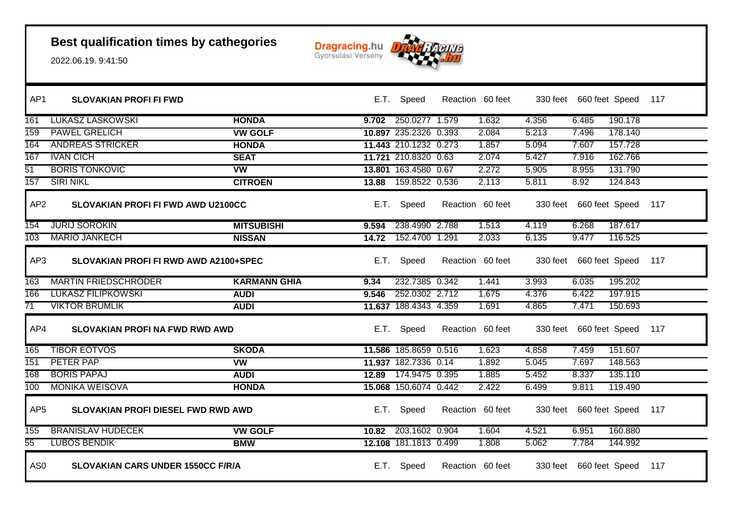

| AP1             | <b>SLOVAKIAN PROFI FI FWD</b>            |                     |       | E.T. Speed            | Reaction 60 feet |       | 330 feet 660 feet Speed 117 |         |     |
|-----------------|------------------------------------------|---------------------|-------|-----------------------|------------------|-------|-----------------------------|---------|-----|
| 161             | <b>LUKASZ LASKOWSKI</b>                  | <b>HONDA</b>        |       | 9.702 250.0277 1.579  | 1.632            | 4.356 | 6.485                       | 190.178 |     |
| 159             | <b>PAWEL GRELICH</b>                     | <b>VW GOLF</b>      |       | 10.897 235.2326 0.393 | 2.084            | 5.213 | 7.496                       | 178.140 |     |
| 164             | <b>ANDREAS STRICKER</b>                  | <b>HONDA</b>        |       | 11.443 210.1232 0.273 | 1.857            | 5.094 | 7.607                       | 157.728 |     |
| 167             | <b>IVAN CICH</b>                         | <b>SEAT</b>         |       | 11.721 210.8320 0.63  | 2.074            | 5.427 | 7.916                       | 162.766 |     |
| $\overline{51}$ | <b>BORIS TONKOVIC</b>                    | vw                  |       | 13.801 163.4580 0.67  | 2.272            | 5.905 | 8.955                       | 131.790 |     |
| 157             | <b>SIRI NIKL</b>                         | <b>CITROEN</b>      |       | 13.88 159.8522 0.536  | 2.113            | 5.811 | 8.92                        | 124.843 |     |
| AP <sub>2</sub> | SLOVAKIAN PROFI FI FWD AWD U2100CC       |                     |       | E.T. Speed            | Reaction 60 feet |       | 330 feet 660 feet Speed 117 |         |     |
| 154             | <b>JURIJ SOROKIN</b>                     | <b>MITSUBISHI</b>   | 9.594 | 238.4990 2.788        | 1.513            | 4.119 | 6.268                       | 187.617 |     |
| 103             | <b>MARIO JANKECH</b>                     | <b>NISSAN</b>       |       | 14.72 152.4700 1.291  | 2.033            | 6.135 | 9.477                       | 116.525 |     |
| AP3             | SLOVAKIAN PROFI FI RWD AWD A2100+SPEC    |                     |       | E.T. Speed            | Reaction 60 feet |       | 330 feet 660 feet Speed     |         | 117 |
| 163             | <b>MARTIN FRIEDSCHRODER</b>              | <b>KARMANN GHIA</b> | 9.34  | 232.7385 0.342        | 1.441            | 3.993 | 6.035                       | 195.202 |     |
| 166             | <b>LUKASZ FILIPKOWSKI</b>                | <b>AUDI</b>         | 9.546 | 252.0302 2.712        | 1.675            | 4.376 | 6.422                       | 197.915 |     |
| 71              | <b>VIKTOR BRUMLIK</b>                    | <b>AUDI</b>         |       | 11.637 188.4343 4.359 | 1.691            | 4.865 | 7.471                       | 150.693 |     |
| AP4             | <b>SLOVAKIAN PROFI NA FWD RWD AWD</b>    |                     |       | E.T. Speed            | Reaction 60 feet |       | 330 feet 660 feet Speed 117 |         |     |
| 165             | <b>TIBOR EOTVOS</b>                      | <b>SKODA</b>        |       | 11.586 185.8659 0.516 | 1.623            | 4.858 | 7.459                       | 151.607 |     |
| 151             | PETER PAP                                | <b>VW</b>           |       | 11.937 182.7336 0.14  | 1.892            | 5.045 | 7.697                       | 148.563 |     |
| 168             | <b>BORIS PAPAJ</b>                       | <b>AUDI</b>         |       | 12.89 174.9475 0.395  | 1.885            | 5.452 | 8.337                       | 135.110 |     |
| 100             | <b>MONIKA WEISOVA</b>                    | <b>HONDA</b>        |       | 15.068 150.6074 0.442 | 2.422            | 6.499 | 9.811                       | 119.490 |     |
| AP <sub>5</sub> | SLOVAKIAN PROFI DIESEL FWD RWD AWD       |                     |       | E.T. Speed            | Reaction 60 feet |       | 330 feet 660 feet Speed 117 |         |     |
| 155             | <b>BRANISLAV HUDECEK</b>                 | <b>VW GOLF</b>      | 10.82 | 203.1602 0.904        | 1.604            | 4.521 | 6.951                       | 160.880 |     |
| $\overline{55}$ | <b>LUBOS BENDIK</b>                      | <b>BMW</b>          |       | 12.108 181.1813 0.499 | 1.808            | 5.062 | 7.784                       | 144.992 |     |
| AS <sub>0</sub> | <b>SLOVAKIAN CARS UNDER 1550CC F/R/A</b> |                     |       | E.T. Speed            | Reaction 60 feet |       | 330 feet 660 feet Speed     |         | 117 |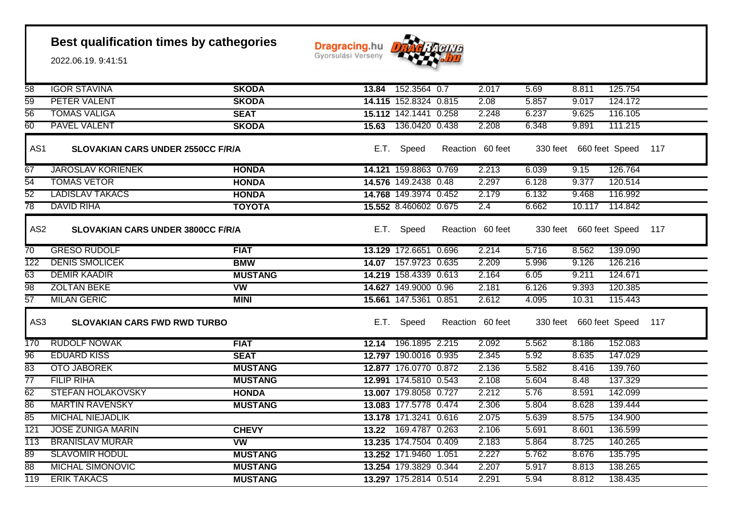

| $\overline{58}$  | <b>IGOR STAVINA</b>                      | <b>SKODA</b>   |       | 13.84 152.3564 0.7    | 2.017            | 5.69     | 8.811                   | 125.754 |     |
|------------------|------------------------------------------|----------------|-------|-----------------------|------------------|----------|-------------------------|---------|-----|
| 59               | <b>PETER VALENT</b>                      | <b>SKODA</b>   |       | 14.115 152.8324 0.815 | 2.08             | 5.857    | 9.017                   | 124.172 |     |
| $\overline{56}$  | <b>TOMAS VALIGA</b>                      | <b>SEAT</b>    |       | 15.112 142.1441 0.258 | 2.248            | 6.237    | 9.625                   | 116.105 |     |
| 60               | <b>PAVEL VALENT</b>                      | <b>SKODA</b>   |       | 15.63 136.0420 0.438  | 2.208            | 6.348    | 9.891                   | 111.215 |     |
| AS1              | <b>SLOVAKIAN CARS UNDER 2550CC F/R/A</b> |                | E.T.  | Speed                 | Reaction 60 feet |          | 330 feet 660 feet Speed |         | 117 |
| 67               | <b>JAROSLAV KORIENEK</b>                 | <b>HONDA</b>   |       | 14.121 159.8863 0.769 | 2.213            | 6.039    | 9.15                    | 126.764 |     |
| $\overline{54}$  | <b>TOMAS VETOR</b>                       | <b>HONDA</b>   |       | 14.576 149.2438 0.48  | 2.297            | 6.128    | 9.377                   | 120.514 |     |
| 52               | <b>LADISLAV TAKACS</b>                   | <b>HONDA</b>   |       | 14.768 149.3974 0.452 | 2.179            | 6.132    | 9.468                   | 116.992 |     |
| $\overline{78}$  | <b>DAVID RIHA</b>                        | <b>TOYOTA</b>  |       | 15.552 8.460602 0.675 | 2.4              | 6.662    | 10.117                  | 114.842 |     |
| AS <sub>2</sub>  | <b>SLOVAKIAN CARS UNDER 3800CC F/R/A</b> |                | E.T.  | Speed                 | Reaction 60 feet |          | 330 feet 660 feet Speed |         | 117 |
| $\overline{70}$  | <b>GRESO RUDOLF</b>                      | <b>FIAT</b>    |       | 13.129 172.6651 0.696 | 2.214            | 5.716    | 8.562                   | 139.090 |     |
| $\overline{122}$ | <b>DENIS SMOLICEK</b>                    | <b>BMW</b>     | 14.07 | 157.9723 0.635        | 2.209            | 5.996    | 9.126                   | 126.216 |     |
| 63               | <b>DEMIR KAADIR</b>                      | <b>MUSTANG</b> |       | 14.219 158.4339 0.613 | 2.164            | 6.05     | 9.211                   | 124.671 |     |
| 98               | <b>ZOLTAN BEKE</b>                       | <b>VW</b>      |       | 14.627 149.9000 0.96  | 2.181            | 6.126    | 9.393                   | 120.385 |     |
| $\overline{57}$  | <b>MILAN GERIC</b>                       | <b>MINI</b>    |       | 15.661 147.5361 0.851 | 2.612            | 4.095    | 10.31                   | 115.443 |     |
| AS3              | <b>SLOVAKIAN CARS FWD RWD TURBO</b>      |                | E.T.  | Speed                 | Reaction 60 feet | 330 feet | 660 feet Speed          |         | 117 |
| 170              | <b>RUDOLF NOWAK</b>                      | <b>FIAT</b>    |       | 12.14 196.1895 2.215  | 2.092            | 5.562    | 8.186                   | 152.083 |     |
| $\overline{96}$  | <b>EDUARD KISS</b>                       | <b>SEAT</b>    |       | 12.797 190.0016 0.935 | 2.345            | 5.92     | 8.635                   | 147.029 |     |
| 83               | <b>OTO JABOREK</b>                       | <b>MUSTANG</b> |       | 12.877 176.0770 0.872 | 2.136            | 5.582    | 8.416                   | 139.760 |     |
| $\overline{77}$  | <b>FILIP RIHA</b>                        | <b>MUSTANG</b> |       | 12.991 174.5810 0.543 | 2.108            | 5.604    | 8.48                    | 137.329 |     |
| 62               | <b>STEFAN HOLAKOVSKY</b>                 | <b>HONDA</b>   |       | 13.007 179.8058 0.727 | 2.212            | 5.76     | 8.591                   | 142.099 |     |
| 86               | <b>MARTIN RAVENSKY</b>                   | <b>MUSTANG</b> |       | 13.083 177.5778 0.474 | 2.306            | 5.804    | 8.628                   | 139.444 |     |
| 85               | <b>MICHAL NIEJADLIK</b>                  |                |       | 13.178 171.3241 0.616 | 2.075            | 5.639    | 8.575                   | 134.900 |     |
| 121              | <b>JOSE ZUNIGA MARIN</b>                 | <b>CHEVY</b>   |       | 13.22 169.4787 0.263  | 2.106            | 5.691    | 8.601                   | 136.599 |     |
| 113              | <b>BRANISLAV MURAR</b>                   | W              |       | 13.235 174.7504 0.409 | 2.183            | 5.864    | 8.725                   | 140.265 |     |
| 89               | <b>SLAVOMIR HODUL</b>                    | <b>MUSTANG</b> |       | 13.252 171.9460 1.051 | 2.227            | 5.762    | 8.676                   | 135.795 |     |
| 88               | <b>MICHAL SIMONOVIC</b>                  | <b>MUSTANG</b> |       | 13.254 179.3829 0.344 | 2.207            | 5.917    | 8.813                   | 138.265 |     |
| 119              | <b>ERIK TAKACS</b>                       | <b>MUSTANG</b> |       | 13.297 175.2814 0.514 | 2.291            | 5.94     | 8.812                   | 138.435 |     |
|                  |                                          |                |       |                       |                  |          |                         |         |     |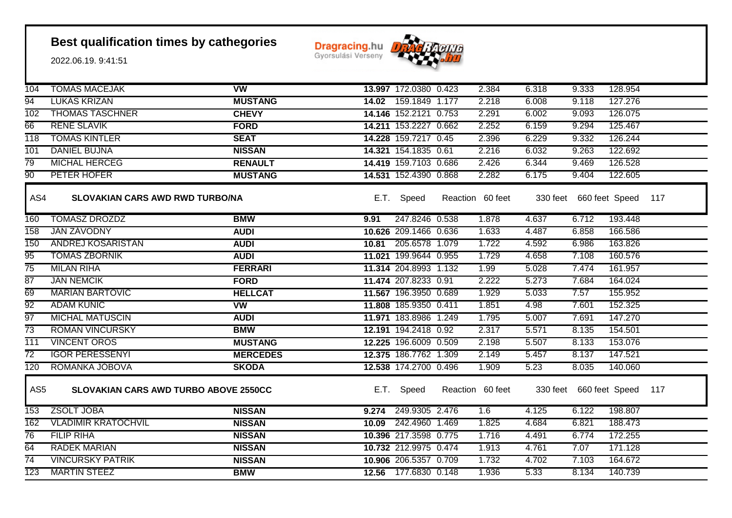**Dragracing.hu** 



| 104              | <b>TOMAS MACEJAK</b>                         | $\overline{\text{vw}}$ |       | 13.997 172.0380 0.423 | 2.384            | 6.318    | 9.333                   | 128.954 |     |
|------------------|----------------------------------------------|------------------------|-------|-----------------------|------------------|----------|-------------------------|---------|-----|
| 94               | <b>LUKAS KRIZAN</b>                          | <b>MUSTANG</b>         |       | 14.02 159.1849 1.177  | 2.218            | 6.008    | 9.118                   | 127.276 |     |
| 102              | <b>THOMAS TASCHNER</b>                       | <b>CHEVY</b>           |       | 14.146 152.2121 0.753 | 2.291            | 6.002    | 9.093                   | 126.075 |     |
| 66               | <b>RENE SLAVIK</b>                           | <b>FORD</b>            |       | 14.211 153.2227 0.662 | 2.252            | 6.159    | 9.294                   | 125.467 |     |
| $\overline{118}$ | <b>TOMAS KINTLER</b>                         | <b>SEAT</b>            |       | 14.228 159.7217 0.45  | 2.396            | 6.229    | 9.332                   | 126.244 |     |
| 101              | <b>DANIEL BUJNA</b>                          | <b>NISSAN</b>          |       | 14.321 154.1835 0.61  | 2.216            | 6.032    | 9.263                   | 122.692 |     |
| 79               | <b>MICHAL HERCEG</b>                         | <b>RENAULT</b>         |       | 14.419 159.7103 0.686 | 2.426            | 6.344    | 9.469                   | 126.528 |     |
| 90               | PETER HOFER                                  | <b>MUSTANG</b>         |       | 14.531 152.4390 0.868 | 2.282            | 6.175    | 9.404                   | 122.605 |     |
| AS4              | <b>SLOVAKIAN CARS AWD RWD TURBO/NA</b>       |                        |       | E.T. Speed            | Reaction 60 feet | 330 feet | 660 feet Speed          |         | 117 |
| 160              | <b>TOMASZ DROZDZ</b>                         | <b>BMW</b>             | 9.91  | 247.8246 0.538        | 1.878            | 4.637    | 6.712                   | 193.448 |     |
| 158              | <b>JAN ZAVODNY</b>                           | <b>AUDI</b>            |       | 10.626 209.1466 0.636 | 1.633            | 4.487    | 6.858                   | 166.586 |     |
| 150              | ANDREJ KOSARISTAN                            | <b>AUDI</b>            |       | 10.81 205.6578 1.079  | 1.722            | 4.592    | 6.986                   | 163.826 |     |
| 95               | <b>TOMAS ZBORNIK</b>                         | <b>AUDI</b>            |       | 11.021 199.9644 0.955 | 1.729            | 4.658    | 7.108                   | 160.576 |     |
| $\overline{75}$  | <b>MILAN RIHA</b>                            | <b>FERRARI</b>         |       | 11.314 204.8993 1.132 | 1.99             | 5.028    | 7.474                   | 161.957 |     |
| $\overline{87}$  | <b>JAN NEMCIK</b>                            | <b>FORD</b>            |       | 11.474 207.8233 0.91  | 2.222            | 5.273    | 7.684                   | 164.024 |     |
| 69               | <b>MARIAN BARTOVIC</b>                       | <b>HELLCAT</b>         |       | 11.567 196.3950 0.689 | 1.929            | 5.033    | 7.57                    | 155.952 |     |
| $\overline{92}$  | <b>ADAM KUNIC</b>                            | <b>VW</b>              |       | 11.808 185.9350 0.411 | 1.851            | 4.98     | 7.601                   | 152.325 |     |
| 97               | <b>MICHAL MATUSCIN</b>                       | <b>AUDI</b>            |       | 11.971 183.8986 1.249 | 1.795            | 5.007    | 7.691                   | 147.270 |     |
| $\overline{73}$  | <b>ROMAN VINCURSKY</b>                       | <b>BMW</b>             |       | 12.191 194.2418 0.92  | 2.317            | 5.571    | 8.135                   | 154.501 |     |
| 111              | <b>VINCENT OROS</b>                          | <b>MUSTANG</b>         |       | 12.225 196.6009 0.509 | 2.198            | 5.507    | 8.133                   | 153.076 |     |
| $\overline{72}$  | <b>IGOR PERESSENYI</b>                       | <b>MERCEDES</b>        |       | 12.375 186.7762 1.309 | 2.149            | 5.457    | 8.137                   | 147.521 |     |
| 120              | ROMANKA JOBOVA                               | <b>SKODA</b>           |       | 12.538 174.2700 0.496 | 1.909            | 5.23     | 8.035                   | 140.060 |     |
| AS <sub>5</sub>  | <b>SLOVAKIAN CARS AWD TURBO ABOVE 2550CC</b> |                        | E.T.  | Speed                 | Reaction 60 feet |          | 330 feet 660 feet Speed |         | 117 |
| 153              | ZSOLT JÓBA                                   | <b>NISSAN</b>          | 9.274 | 249.9305 2.476        | 1.6              | 4.125    | 6.122                   | 198.807 |     |
| 162              | <b>VLADIMIR KRATOCHVIL</b>                   | <b>NISSAN</b>          | 10.09 | 242.4960 1.469        | 1.825            | 4.684    | 6.821                   | 188.473 |     |
| 76               | <b>FILIP RIHA</b>                            | <b>NISSAN</b>          |       | 10.396 217.3598 0.775 | 1.716            | 4.491    | 6.774                   | 172.255 |     |
| 64               | <b>RADEK MARIAN</b>                          | <b>NISSAN</b>          |       | 10.732 212.9975 0.474 | 1.913            | 4.761    | 7.07                    | 171.128 |     |
| $\overline{74}$  | <b>VINCURSKY PATRIK</b>                      | <b>NISSAN</b>          |       | 10.906 206.5357 0.709 | 1.732            | 4.702    | 7.103                   | 164.672 |     |
| 123              | <b>MARTIN STEEZ</b>                          | <b>BMW</b>             |       | 12.56 177.6830 0.148  | 1.936            | 5.33     | 8.134                   | 140.739 |     |
|                  |                                              |                        |       |                       |                  |          |                         |         |     |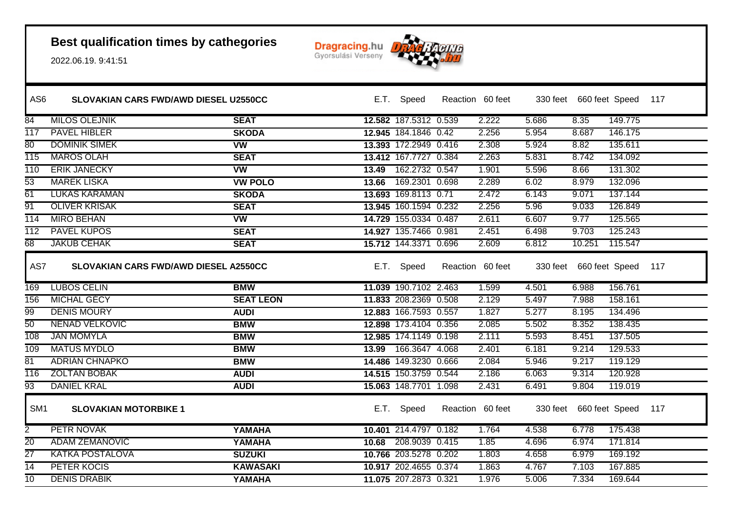

| AS <sub>6</sub>  | <b>SLOVAKIAN CARS FWD/AWD DIESEL U2550CC</b> |                        |       | E.T. Speed            | Reaction 60 feet |       |                         | 330 feet 660 feet Speed 117 |     |
|------------------|----------------------------------------------|------------------------|-------|-----------------------|------------------|-------|-------------------------|-----------------------------|-----|
| $\overline{84}$  | <b>MILOS OLEJNIK</b>                         | <b>SEAT</b>            |       | 12.582 187.5312 0.539 | 2.222            | 5.686 | 8.35                    | 149.775                     |     |
| 117              | <b>PAVEL HIBLER</b>                          | <b>SKODA</b>           |       | 12.945 184.1846 0.42  | 2.256            | 5.954 | 8.687                   | 146.175                     |     |
| 80               | <b>DOMINIK SIMEK</b>                         | <b>VW</b>              |       | 13.393 172.2949 0.416 | 2.308            | 5.924 | 8.82                    | 135.611                     |     |
| 115              | <b>MAROS OLAH</b>                            | <b>SEAT</b>            |       | 13.412 167.7727 0.384 | 2.263            | 5.831 | 8.742                   | 134.092                     |     |
| $\overline{110}$ | <b>ERIK JANECKY</b>                          | $\overline{\text{vw}}$ | 13.49 | 162.2732 0.547        | 1.901            | 5.596 | 8.66                    | 131.302                     |     |
| $\overline{53}$  | <b>MAREK LISKA</b>                           | <b>VW POLO</b>         | 13.66 | 169.2301 0.698        | 2.289            | 6.02  | 8.979                   | 132.096                     |     |
| 61               | <b>LUKAS KARAMAN</b>                         | <b>SKODA</b>           |       | 13.693 169.8113 0.71  | 2.472            | 6.143 | 9.071                   | 137.144                     |     |
| 91               | <b>OLIVER KRISAK</b>                         | <b>SEAT</b>            |       | 13.945 160.1594 0.232 | 2.256            | 5.96  | 9.033                   | 126.849                     |     |
| $\overline{114}$ | <b>MIRO BEHAN</b>                            | <b>VW</b>              |       | 14.729 155.0334 0.487 | 2.611            | 6.607 | 9.77                    | 125.565                     |     |
| $\overline{112}$ | <b>PAVEL KUPOS</b>                           | <b>SEAT</b>            |       | 14.927 135.7466 0.981 | 2.451            | 6.498 | 9.703                   | 125.243                     |     |
| 68               | <b>JAKUB CEHAK</b>                           | <b>SEAT</b>            |       | 15.712 144.3371 0.696 | 2.609            | 6.812 | 10.251                  | 115.547                     |     |
| AS7              | <b>SLOVAKIAN CARS FWD/AWD DIESEL A2550CC</b> |                        |       | E.T. Speed            | Reaction 60 feet |       | 330 feet 660 feet Speed |                             | 117 |
| 169              | <b>LUBOS CELIN</b>                           | <b>BMW</b>             |       | 11.039 190.7102 2.463 | 1.599            | 4.501 | 6.988                   | 156.761                     |     |
| 156              | <b>MICHAL GECY</b>                           | <b>SEAT LEON</b>       |       | 11.833 208.2369 0.508 | 2.129            | 5.497 | 7.988                   | 158.161                     |     |
| 99               | <b>DENIS MOURY</b>                           | <b>AUDI</b>            |       | 12.883 166.7593 0.557 | 1.827            | 5.277 | 8.195                   | 134.496                     |     |
| 50               | <b>NENAD VELKOVIC</b>                        | <b>BMW</b>             |       | 12.898 173.4104 0.356 | 2.085            | 5.502 | 8.352                   | 138.435                     |     |
| 108              | <b>JAN MOMYLA</b>                            | <b>BMW</b>             |       | 12.985 174.1149 0.198 | 2.111            | 5.593 | 8.451                   | 137.505                     |     |
| 109              | <b>MATUS MYDLO</b>                           | <b>BMW</b>             |       | 13.99 166.3647 4.068  | 2.401            | 6.181 | 9.214                   | 129.533                     |     |
| 81               | <b>ADRIAN CHNAPKO</b>                        | <b>BMW</b>             |       | 14.486 149.3230 0.666 | 2.084            | 5.946 | 9.217                   | 119.129                     |     |
| 116              | <b>ZOLTAN BOBAK</b>                          | <b>AUDI</b>            |       | 14.515 150.3759 0.544 | 2.186            | 6.063 | 9.314                   | 120.928                     |     |
| $\overline{93}$  | <b>DANIEL KRAL</b>                           | <b>AUDI</b>            |       | 15.063 148.7701 1.098 | 2.431            | 6.491 | 9.804                   | 119.019                     |     |
| SM <sub>1</sub>  | <b>SLOVAKIAN MOTORBIKE 1</b>                 |                        |       | E.T. Speed            | Reaction 60 feet |       |                         | 330 feet 660 feet Speed 117 |     |
| $\overline{2}$   | PETR NOVAK                                   | YAMAHA                 |       | 10.401 214.4797 0.182 | 1.764            | 4.538 | 6.778                   | 175.438                     |     |
| 20               | <b>ADAM ZEMANOVIC</b>                        | YAMAHA                 |       | 10.68 208.9039 0.415  | 1.85             | 4.696 | 6.974                   | 171.814                     |     |
| $\overline{27}$  | <b>KATKA POSTALOVA</b>                       | <b>SUZUKI</b>          |       | 10.766 203.5278 0.202 | 1.803            | 4.658 | 6.979                   | 169.192                     |     |
| $\overline{14}$  | PETER KOCIS                                  | <b>KAWASAKI</b>        |       | 10.917 202.4655 0.374 | 1.863            | 4.767 | 7.103                   | 167.885                     |     |
| $\overline{10}$  | <b>DENIS DRABIK</b>                          | YAMAHA                 |       | 11.075 207.2873 0.321 | 1.976            | 5.006 | 7.334                   | 169.644                     |     |
|                  |                                              |                        |       |                       |                  |       |                         |                             |     |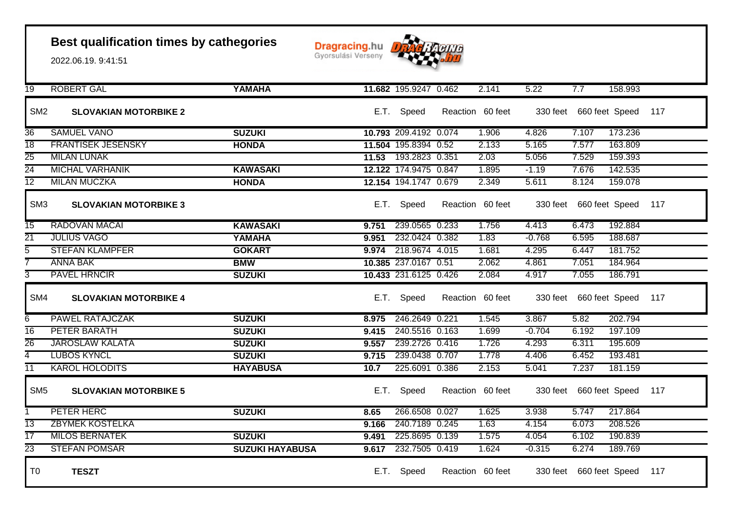

| $\overline{19}$ | <b>ROBERT GAL</b>            | YAMAHA                 |       | 11.682 195.9247 0.462 |                  | 2.141 | 5.22     | 7.7                         | 158.993 |     |
|-----------------|------------------------------|------------------------|-------|-----------------------|------------------|-------|----------|-----------------------------|---------|-----|
| SM <sub>2</sub> | <b>SLOVAKIAN MOTORBIKE 2</b> |                        |       | E.T. Speed            | Reaction 60 feet |       |          | 330 feet 660 feet Speed 117 |         |     |
| 36              | <b>SAMUEL VANO</b>           | <b>SUZUKI</b>          |       | 10.793 209.4192 0.074 |                  | 1.906 | 4.826    | 7.107                       | 173.236 |     |
| 18              | <b>FRANTISEK JESENSKY</b>    | <b>HONDA</b>           |       | 11.504 195.8394 0.52  |                  | 2.133 | 5.165    | 7.577                       | 163.809 |     |
| $\overline{25}$ | <b>MILAN LUNAK</b>           |                        |       | 11.53 193.2823 0.351  |                  | 2.03  | 5.056    | 7.529                       | 159.393 |     |
| $\overline{24}$ | <b>MICHAL VARHANIK</b>       | <b>KAWASAKI</b>        |       | 12.122 174.9475 0.847 |                  | 1.895 | $-1.19$  | 7.676                       | 142.535 |     |
| $\overline{12}$ | <b>MILAN MUCZKA</b>          | <b>HONDA</b>           |       | 12.154 194.1747 0.679 |                  | 2.349 | 5.611    | 8.124                       | 159.078 |     |
| SM <sub>3</sub> | <b>SLOVAKIAN MOTORBIKE 3</b> |                        |       | E.T. Speed            | Reaction 60 feet |       |          | 330 feet 660 feet Speed     |         | 117 |
| $\overline{15}$ | <b>RADOVAN MACAI</b>         | <b>KAWASAKI</b>        | 9.751 | 239.0565 0.233        |                  | 1.756 | 4.413    | 6.473                       | 192.884 |     |
| $\overline{21}$ | <b>JULIUS VAGO</b>           | YAMAHA                 | 9.951 | 232.0424 0.382        |                  | 1.83  | $-0.768$ | 6.595                       | 188.687 |     |
| 5               | <b>STEFAN KLAMPFER</b>       | <b>GOKART</b>          |       | 9.974 218.9674 4.015  |                  | 1.681 | 4.295    | 6.447                       | 181.752 |     |
|                 | <b>ANNA BAK</b>              | <b>BMW</b>             |       | 10.385 237.0167 0.51  |                  | 2.062 | 4.861    | 7.051                       | 184.964 |     |
| 3               | <b>PAVEL HRNCIR</b>          | <b>SUZUKI</b>          |       | 10.433 231.6125 0.426 |                  | 2.084 | 4.917    | 7.055                       | 186.791 |     |
| SM4             | <b>SLOVAKIAN MOTORBIKE 4</b> |                        |       | E.T. Speed            | Reaction 60 feet |       |          | 330 feet 660 feet Speed 117 |         |     |
| 6               | PAWEL RATAJCZAK              | <b>SUZUKI</b>          | 8.975 | 246.2649 0.221        |                  | 1.545 | 3.867    | 5.82                        | 202.794 |     |
| $\overline{16}$ | PETER BARATH                 | <b>SUZUKI</b>          | 9.415 | 240.5516 0.163        |                  | 1.699 | $-0.704$ | 6.192                       | 197.109 |     |
| 26              | <b>JAROSLAW KALATA</b>       | <b>SUZUKI</b>          | 9.557 | 239.2726 0.416        |                  | 1.726 | 4.293    | 6.311                       | 195.609 |     |
| 4               | <b>LUBOS KYNCL</b>           | <b>SUZUKI</b>          | 9.715 | 239.0438 0.707        |                  | 1.778 | 4.406    | 6.452                       | 193.481 |     |
| $\overline{11}$ | <b>KAROL HOLODITS</b>        | <b>HAYABUSA</b>        | 10.7  | 225.6091 0.386        |                  | 2.153 | 5.041    | 7.237                       | 181.159 |     |
| SM <sub>5</sub> | <b>SLOVAKIAN MOTORBIKE 5</b> |                        | E.T.  | Speed                 | Reaction 60 feet |       |          | 330 feet 660 feet Speed     |         | 117 |
| 1               | PETER HERC                   | <b>SUZUKI</b>          | 8.65  | 266.6508 0.027        |                  | 1.625 | 3.938    | 5.747                       | 217.864 |     |
| $\overline{13}$ | <b>ZBYMEK KOSTELKA</b>       |                        | 9.166 | 240.7189 0.245        |                  | 1.63  | 4.154    | 6.073                       | 208.526 |     |
| $\overline{17}$ | <b>MILOS BERNATEK</b>        | <b>SUZUKI</b>          | 9.491 | 225.8695 0.139        |                  | 1.575 | 4.054    | 6.102                       | 190.839 |     |
| $\overline{23}$ | <b>STEFAN POMSAR</b>         | <b>SUZUKI HAYABUSA</b> | 9.617 | 232.7505 0.419        |                  | 1.624 | $-0.315$ | 6.274                       | 189.769 |     |
| T <sub>0</sub>  | <b>TESZT</b>                 |                        | E.T.  | Speed                 | Reaction 60 feet |       |          | 330 feet 660 feet Speed     |         | 117 |